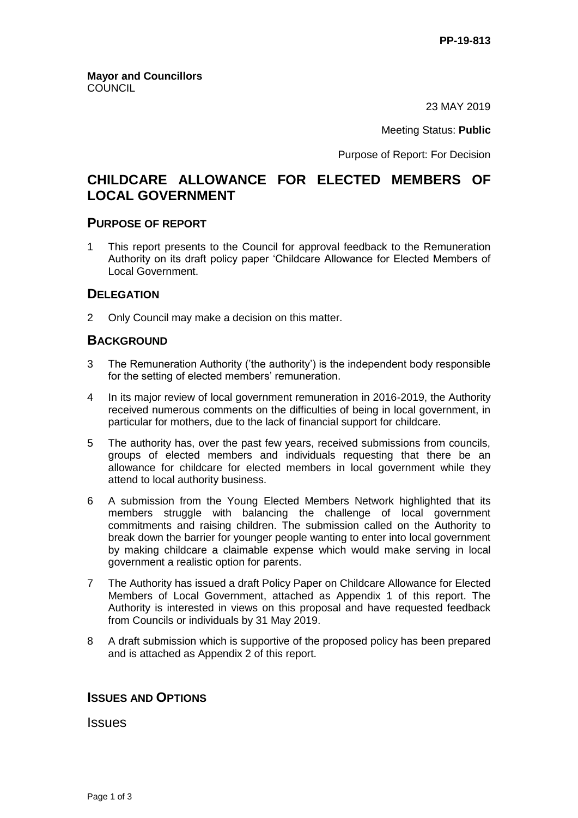23 MAY 2019

Meeting Status: **Public**

Purpose of Report: For Decision

# **CHILDCARE ALLOWANCE FOR ELECTED MEMBERS OF LOCAL GOVERNMENT**

#### **PURPOSE OF REPORT**

1 This report presents to the Council for approval feedback to the Remuneration Authority on its draft policy paper 'Childcare Allowance for Elected Members of Local Government.

## **DELEGATION**

2 Only Council may make a decision on this matter.

## **BACKGROUND**

- 3 The Remuneration Authority ('the authority') is the independent body responsible for the setting of elected members' remuneration.
- 4 In its major review of local government remuneration in 2016-2019, the Authority received numerous comments on the difficulties of being in local government, in particular for mothers, due to the lack of financial support for childcare.
- 5 The authority has, over the past few years, received submissions from councils, groups of elected members and individuals requesting that there be an allowance for childcare for elected members in local government while they attend to local authority business.
- 6 A submission from the Young Elected Members Network highlighted that its members struggle with balancing the challenge of local government commitments and raising children. The submission called on the Authority to break down the barrier for younger people wanting to enter into local government by making childcare a claimable expense which would make serving in local government a realistic option for parents.
- 7 The Authority has issued a draft Policy Paper on Childcare Allowance for Elected Members of Local Government, attached as Appendix 1 of this report. The Authority is interested in views on this proposal and have requested feedback from Councils or individuals by 31 May 2019.
- 8 A draft submission which is supportive of the proposed policy has been prepared and is attached as Appendix 2 of this report.

#### **ISSUES AND OPTIONS**

Issues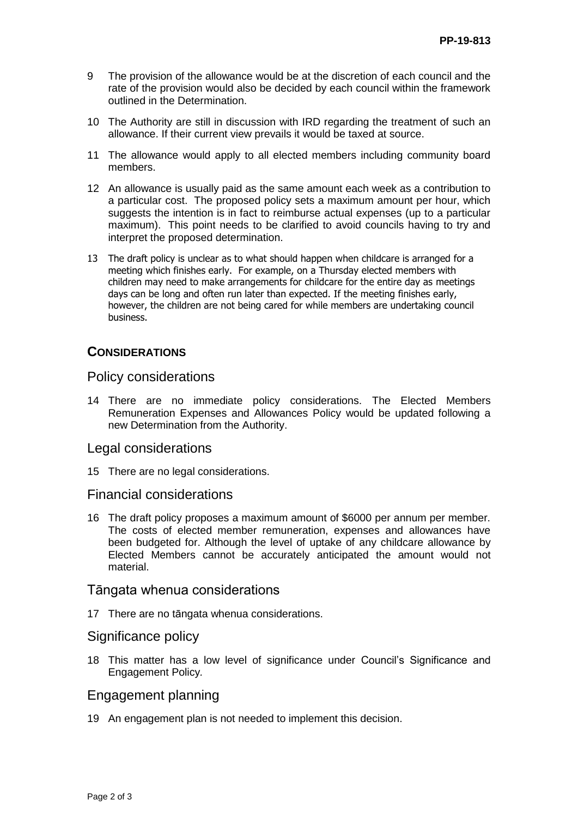- 9 The provision of the allowance would be at the discretion of each council and the rate of the provision would also be decided by each council within the framework outlined in the Determination.
- 10 The Authority are still in discussion with IRD regarding the treatment of such an allowance. If their current view prevails it would be taxed at source.
- 11 The allowance would apply to all elected members including community board members.
- 12 An allowance is usually paid as the same amount each week as a contribution to a particular cost. The proposed policy sets a maximum amount per hour, which suggests the intention is in fact to reimburse actual expenses (up to a particular maximum). This point needs to be clarified to avoid councils having to try and interpret the proposed determination.
- 13 The draft policy is unclear as to what should happen when childcare is arranged for a meeting which finishes early. For example, on a Thursday elected members with children may need to make arrangements for childcare for the entire day as meetings days can be long and often run later than expected. If the meeting finishes early, however, the children are not being cared for while members are undertaking council business.

## **CONSIDERATIONS**

#### Policy considerations

14 There are no immediate policy considerations. The Elected Members Remuneration Expenses and Allowances Policy would be updated following a new Determination from the Authority.

#### Legal considerations

15 There are no legal considerations.

#### Financial considerations

16 The draft policy proposes a maximum amount of \$6000 per annum per member. The costs of elected member remuneration, expenses and allowances have been budgeted for. Although the level of uptake of any childcare allowance by Elected Members cannot be accurately anticipated the amount would not material.

#### Tāngata whenua considerations

17 There are no tāngata whenua considerations.

## Significance policy

18 This matter has a low level of significance under Council's Significance and Engagement Policy*.*

## Engagement planning

19 An engagement plan is not needed to implement this decision.